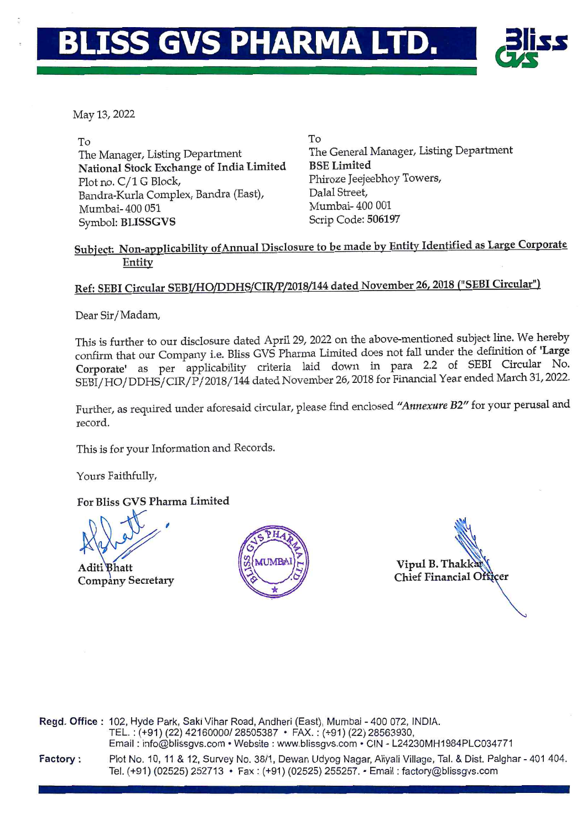# **BLISS GVS PHARMA LTD.**



May 13, 2022

To The Manager, Listing Department National Stock Exchange of India Limited Plot no. C/1 G Block, Bandra-Kurla Complex, Bandra (East), Mumbai- 400 051 Symbol: BLISSGVS

To The General Manager, Listing Department BSE Limited Phiroze Jeejeebhoy Towers, Dalal Street, Mumbai- 400 001 Scrip Code: 506197

### Subject: Non-applicability of Annual Disclosure to be made by Entity Identified as Large Corporate Entity

### Ref: SEBI Circular SEBI/HO/DDHS/CIR/P/2018/144 dated November 26, 2018 ("SEBI Circular")

Dear Sir/Madam,

This is further to our disclosure dated April 29, 2022 on the above-mentioned subject line. We hereby confirm that our Company i.e. Bliss GVS Pharma Limited does not fall under the definition of 'Large Corporate' as per applicability criteria laid down in para 2.2 of SEBI Circular No. SEBI/HO/DDHS/CIR/P/2018/144 dated November 26, 2018 for Financial Year ended March 31, 2022.

Further, as required under aforesaid circular, please find enclosed *"Annexure B2"* for your perusal and record.

This is for your Information and Records.

Yours Faithfully,

For Bliss GVS Pharma Limited

This is for your Inform<br>Yours Faithfully,<br>For Bliss GVS Pharm<br>Aditi Bhatt<br>Aditi Bhatt

Company Secretary



Vipul B. Thak Chief Financial Officer

Regd. Office: 102, Hyde Park, Saki Vihar Road, Andheri (East), Mumbai - 400 072, INDIA. TEL.: (+91) (22) 42160000/ 28505387 • FAX.: (+91) (22) 28563930, Email: info@blissgvs.com • Website: www.blissgvs.com • CIN - L24230MH1984PLC034771 Factory : Plot No. 10, 11 & 12, Survey No. 38/1, Dewan Udyog Nagar, Aliyali Village, Tal. & Dist. Palghar - 401 404. Tel. (+91) (02525) 252713 • Fax: (+91) (02525) 255257. ·Email: factory@blissgvs.com